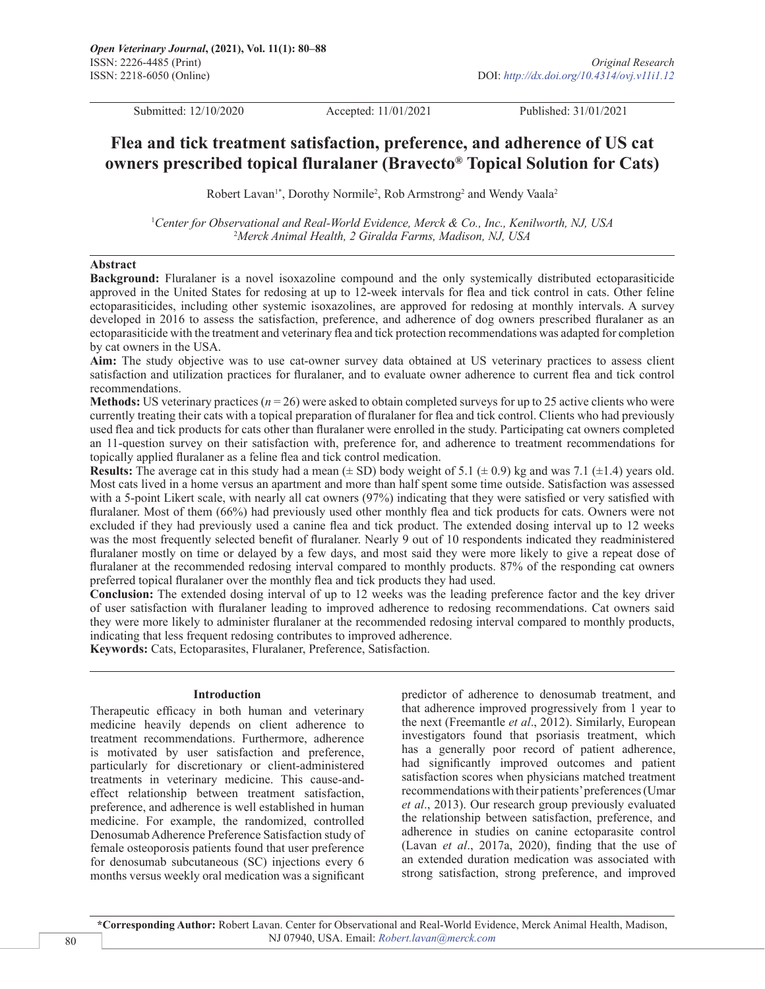Submitted: 12/10/2020 Accepted: 11/01/2021 Published: 31/01/2021

## **Flea and tick treatment satisfaction, preference, and adherence of US cat owners prescribed topical fluralaner (Bravecto® Topical Solution for Cats)**

Robert Lavan<sup>1\*</sup>, Dorothy Normile<sup>2</sup>, Rob Armstrong<sup>2</sup> and Wendy Vaala<sup>2</sup>

1 *Center for Observational and Real-World Evidence, Merck & Co., Inc., Kenilworth, NJ, USA* 2 *Merck Animal Health, 2 Giralda Farms, Madison, NJ, USA*

## **Abstract**

**Background:** Fluralaner is a novel isoxazoline compound and the only systemically distributed ectoparasiticide approved in the United States for redosing at up to 12-week intervals for flea and tick control in cats. Other feline ectoparasiticides, including other systemic isoxazolines, are approved for redosing at monthly intervals. A survey developed in 2016 to assess the satisfaction, preference, and adherence of dog owners prescribed fluralaner as an ectoparasiticide with the treatment and veterinary flea and tick protection recommendations was adapted for completion by cat owners in the USA.

**Aim:** The study objective was to use cat-owner survey data obtained at US veterinary practices to assess client satisfaction and utilization practices for fluralaner, and to evaluate owner adherence to current flea and tick control recommendations.

**Methods:** US veterinary practices (*n* = 26) were asked to obtain completed surveys for up to 25 active clients who were currently treating their cats with a topical preparation of fluralaner for flea and tick control. Clients who had previously used flea and tick products for cats other than fluralaner were enrolled in the study. Participating cat owners completed an 11-question survey on their satisfaction with, preference for, and adherence to treatment recommendations for topically applied fluralaner as a feline flea and tick control medication.

**Results:** The average cat in this study had a mean  $(\pm SD)$  body weight of 5.1  $(\pm 0.9)$  kg and was 7.1  $(\pm 1.4)$  years old. Most cats lived in a home versus an apartment and more than half spent some time outside. Satisfaction was assessed with a 5-point Likert scale, with nearly all cat owners (97%) indicating that they were satisfied or very satisfied with fluralaner. Most of them (66%) had previously used other monthly flea and tick products for cats. Owners were not excluded if they had previously used a canine flea and tick product. The extended dosing interval up to 12 weeks was the most frequently selected benefit of fluralaner. Nearly 9 out of 10 respondents indicated they readministered fluralaner mostly on time or delayed by a few days, and most said they were more likely to give a repeat dose of fluralaner at the recommended redosing interval compared to monthly products. 87% of the responding cat owners preferred topical fluralaner over the monthly flea and tick products they had used.

**Conclusion:** The extended dosing interval of up to 12 weeks was the leading preference factor and the key driver of user satisfaction with fluralaner leading to improved adherence to redosing recommendations. Cat owners said they were more likely to administer fluralaner at the recommended redosing interval compared to monthly products, indicating that less frequent redosing contributes to improved adherence.

**Keywords:** Cats, Ectoparasites, Fluralaner, Preference, Satisfaction.

## **Introduction**

Therapeutic efficacy in both human and veterinary medicine heavily depends on client adherence to treatment recommendations. Furthermore, adherence is motivated by user satisfaction and preference, particularly for discretionary or client-administered treatments in veterinary medicine. This cause-andeffect relationship between treatment satisfaction, preference, and adherence is well established in human medicine. For example, the randomized, controlled Denosumab Adherence Preference Satisfaction study of female osteoporosis patients found that user preference for denosumab subcutaneous (SC) injections every 6 months versus weekly oral medication was a significant predictor of adherence to denosumab treatment, and that adherence improved progressively from 1 year to the next (Freemantle *et al*., 2012). Similarly, European investigators found that psoriasis treatment, which has a generally poor record of patient adherence, had significantly improved outcomes and patient satisfaction scores when physicians matched treatment recommendations with their patients' preferences (Umar *et al*., 2013). Our research group previously evaluated the relationship between satisfaction, preference, and adherence in studies on canine ectoparasite control (Lavan *et al*., 2017a, 2020), finding that the use of an extended duration medication was associated with strong satisfaction, strong preference, and improved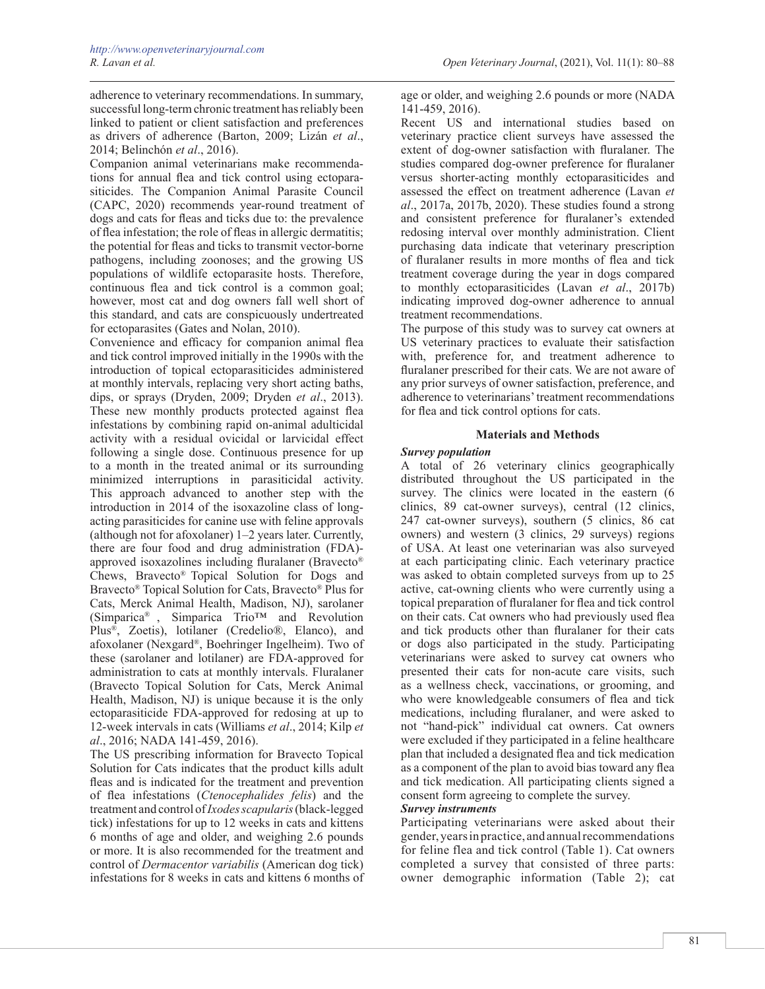Companion animal veterinarians make recommendations for annual flea and tick control using ectoparasiticides. The Companion Animal Parasite Council (CAPC, 2020) recommends year-round treatment of dogs and cats for fleas and ticks due to: the prevalence of flea infestation; the role of fleas in allergic dermatitis; the potential for fleas and ticks to transmit vector-borne pathogens, including zoonoses; and the growing US populations of wildlife ectoparasite hosts. Therefore, continuous flea and tick control is a common goal; however, most cat and dog owners fall well short of this standard, and cats are conspicuously undertreated for ectoparasites (Gates and Nolan, 2010).

Convenience and efficacy for companion animal flea and tick control improved initially in the 1990s with the introduction of topical ectoparasiticides administered at monthly intervals, replacing very short acting baths, dips, or sprays (Dryden, 2009; Dryden *et al*., 2013). These new monthly products protected against flea infestations by combining rapid on-animal adulticidal activity with a residual ovicidal or larvicidal effect following a single dose. Continuous presence for up to a month in the treated animal or its surrounding minimized interruptions in parasiticidal activity. This approach advanced to another step with the introduction in 2014 of the isoxazoline class of longacting parasiticides for canine use with feline approvals (although not for afoxolaner) 1–2 years later. Currently, there are four food and drug administration (FDA) approved isoxazolines including fluralaner (Bravecto® Chews, Bravecto® Topical Solution for Dogs and Bravecto® Topical Solution for Cats, Bravecto® Plus for Cats, Merck Animal Health, Madison, NJ), sarolaner (Simparica® , Simparica Trio™ and Revolution Plus®, Zoetis), lotilaner (Credelio®, Elanco), and afoxolaner (Nexgard®, Boehringer Ingelheim). Two of these (sarolaner and lotilaner) are FDA-approved for administration to cats at monthly intervals. Fluralaner (Bravecto Topical Solution for Cats, Merck Animal Health, Madison, NJ) is unique because it is the only ectoparasiticide FDA-approved for redosing at up to 12-week intervals in cats (Williams *et al*., 2014; Kilp *et al*., 2016; NADA 141-459, 2016).

The US prescribing information for Bravecto Topical Solution for Cats indicates that the product kills adult fleas and is indicated for the treatment and prevention of flea infestations (*Ctenocephalides felis*) and the treatment and control of *Ixodes scapularis* (black-legged tick) infestations for up to 12 weeks in cats and kittens 6 months of age and older, and weighing 2.6 pounds or more. It is also recommended for the treatment and control of *Dermacentor variabilis* (American dog tick) infestations for 8 weeks in cats and kittens 6 months of age or older, and weighing 2.6 pounds or more (NADA 141-459, 2016).

Recent US and international studies based on veterinary practice client surveys have assessed the extent of dog-owner satisfaction with fluralaner. The studies compared dog-owner preference for fluralaner versus shorter-acting monthly ectoparasiticides and assessed the effect on treatment adherence (Lavan *et al*., 2017a, 2017b, 2020). These studies found a strong and consistent preference for fluralaner's extended redosing interval over monthly administration. Client purchasing data indicate that veterinary prescription of fluralaner results in more months of flea and tick treatment coverage during the year in dogs compared to monthly ectoparasiticides (Lavan *et al*., 2017b) indicating improved dog-owner adherence to annual treatment recommendations.

The purpose of this study was to survey cat owners at US veterinary practices to evaluate their satisfaction with, preference for, and treatment adherence to fluralaner prescribed for their cats. We are not aware of any prior surveys of owner satisfaction, preference, and adherence to veterinarians' treatment recommendations for flea and tick control options for cats.

## **Materials and Methods**

## *Survey population*

A total of 26 veterinary clinics geographically distributed throughout the US participated in the survey. The clinics were located in the eastern  $(6)$ clinics, 89 cat-owner surveys), central (12 clinics, 247 cat-owner surveys), southern (5 clinics, 86 cat owners) and western (3 clinics, 29 surveys) regions of USA. At least one veterinarian was also surveyed at each participating clinic. Each veterinary practice was asked to obtain completed surveys from up to 25 active, cat-owning clients who were currently using a topical preparation of fluralaner for flea and tick control on their cats. Cat owners who had previously used flea and tick products other than fluralaner for their cats or dogs also participated in the study. Participating veterinarians were asked to survey cat owners who presented their cats for non-acute care visits, such as a wellness check, vaccinations, or grooming, and who were knowledgeable consumers of flea and tick medications, including fluralaner, and were asked to not "hand-pick" individual cat owners. Cat owners were excluded if they participated in a feline healthcare plan that included a designated flea and tick medication as a component of the plan to avoid bias toward any flea and tick medication. All participating clients signed a consent form agreeing to complete the survey.

## *Survey instruments*

Participating veterinarians were asked about their gender, years in practice, and annual recommendations for feline flea and tick control (Table 1). Cat owners completed a survey that consisted of three parts: owner demographic information (Table 2); cat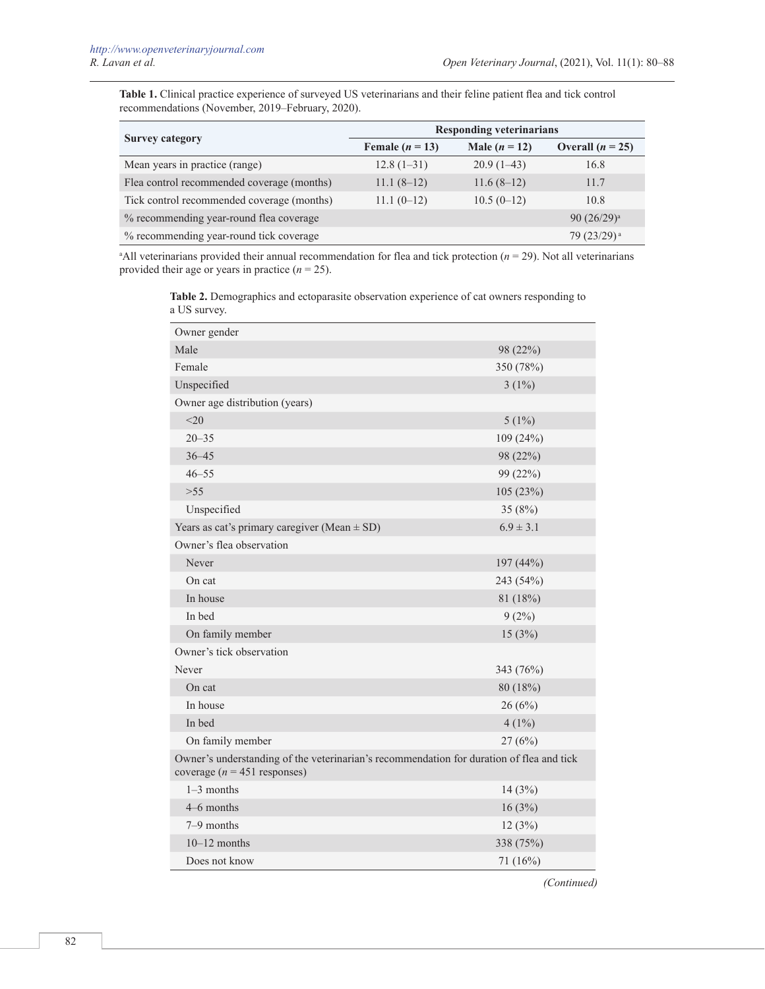**Table 1.** Clinical practice experience of surveyed US veterinarians and their feline patient flea and tick control recommendations (November, 2019–February, 2020).

| <b>Survey category</b>                     | <b>Responding veterinarians</b> |                 |                    |
|--------------------------------------------|---------------------------------|-----------------|--------------------|
|                                            | Female $(n = 13)$               | Male $(n = 12)$ | Overall $(n = 25)$ |
| Mean years in practice (range)             | $12.8(1-31)$                    | $20.9(1-43)$    | 16.8               |
| Flea control recommended coverage (months) | $11.1(8-12)$                    | $11.6(8-12)$    | 11.7               |
| Tick control recommended coverage (months) | $11.1(0-12)$                    | $10.5(0-12)$    | 10.8               |
| % recommending year-round flea coverage    |                                 |                 | 90 $(26/29)^a$     |
| % recommending year-round tick coverage    |                                 |                 | $79(23/29)^{a}$    |

 $A$ All veterinarians provided their annual recommendation for flea and tick protection ( $n = 29$ ). Not all veterinarians provided their age or years in practice  $(n = 25)$ .

**Table 2.** Demographics and ectoparasite observation experience of cat owners responding to a US survey.

| Owner gender                                                                                                                |               |  |
|-----------------------------------------------------------------------------------------------------------------------------|---------------|--|
| Male                                                                                                                        | 98 (22%)      |  |
| Female                                                                                                                      | 350 (78%)     |  |
| Unspecified                                                                                                                 | $3(1\%)$      |  |
| Owner age distribution (years)                                                                                              |               |  |
| <20                                                                                                                         | $5(1\%)$      |  |
| $20 - 35$                                                                                                                   | 109(24%)      |  |
| $36 - 45$                                                                                                                   | 98 (22%)      |  |
| $46 - 55$                                                                                                                   | 99 (22%)      |  |
| >55                                                                                                                         | 105 (23%)     |  |
| Unspecified                                                                                                                 | 35 $(8%)$     |  |
| Years as cat's primary caregiver (Mean $\pm$ SD)                                                                            | $6.9 \pm 3.1$ |  |
| Owner's flea observation                                                                                                    |               |  |
| Never                                                                                                                       | 197(44%)      |  |
| On cat                                                                                                                      | 243 (54%)     |  |
| In house                                                                                                                    | 81 (18%)      |  |
| In bed                                                                                                                      | $9(2\%)$      |  |
| On family member                                                                                                            | 15(3%)        |  |
| Owner's tick observation                                                                                                    |               |  |
| Never                                                                                                                       | 343 (76%)     |  |
| On cat                                                                                                                      | 80(18%)       |  |
| In house                                                                                                                    | 26(6%)        |  |
| In bed                                                                                                                      | $4(1\%)$      |  |
| On family member                                                                                                            | 27(6%)        |  |
| Owner's understanding of the veterinarian's recommendation for duration of flea and tick<br>coverage ( $n = 451$ responses) |               |  |
| $1-3$ months                                                                                                                | 14(3%)        |  |
| 4–6 months                                                                                                                  | 16(3%)        |  |
| $7-9$ months                                                                                                                | 12(3%)        |  |
| $10-12$ months                                                                                                              | 338 (75%)     |  |
| Does not know                                                                                                               | 71(16%)       |  |

*(Continued)*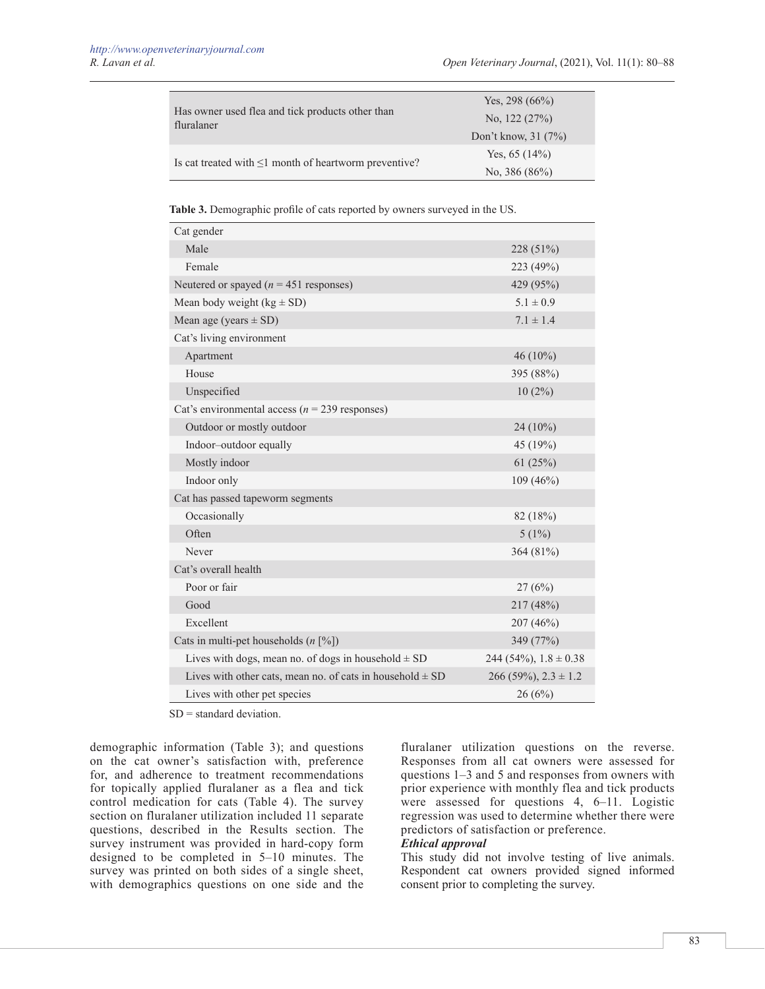|                                                                | Yes, 298 $(66\%)$    |  |
|----------------------------------------------------------------|----------------------|--|
| Has owner used flea and tick products other than<br>fluralaner | No. $122(27%)$       |  |
|                                                                | Don't know, $31(7%)$ |  |
|                                                                | Yes, $65(14%)$       |  |
| Is cat treated with $\leq 1$ month of heartworm preventive?    | No. $386 (86\%)$     |  |

**Table 3.** Demographic profile of cats reported by owners surveyed in the US.

| Cat gender                                                      |                             |
|-----------------------------------------------------------------|-----------------------------|
| Male                                                            | 228 (51%)                   |
| Female                                                          | 223 (49%)                   |
| Neutered or spayed ( $n = 451$ responses)                       | 429 (95%)                   |
| Mean body weight $(kg \pm SD)$                                  | $5.1 \pm 0.9$               |
| Mean age (years $\pm$ SD)                                       | $7.1 \pm 1.4$               |
| Cat's living environment                                        |                             |
| Apartment                                                       | 46 $(10\%)$                 |
| House                                                           | 395 (88%)                   |
| Unspecified                                                     | $10(2\%)$                   |
| Cat's environmental access ( $n = 239$ responses)               |                             |
| Outdoor or mostly outdoor                                       | $24(10\%)$                  |
| Indoor-outdoor equally                                          | 45 (19%)                    |
| Mostly indoor                                                   | 61(25%)                     |
| Indoor only                                                     | 109(46%)                    |
| Cat has passed tapeworm segments                                |                             |
| Occasionally                                                    | 82 (18%)                    |
| Often                                                           | $5(1\%)$                    |
| Never                                                           | 364 (81%)                   |
| Cat's overall health                                            |                             |
| Poor or fair                                                    | 27(6%)                      |
| Good                                                            | 217 (48%)                   |
| Excellent                                                       | 207(46%)                    |
| Cats in multi-pet households $(n \, \lceil \frac{9}{0} \rceil)$ | 349 (77%)                   |
| Lives with dogs, mean no. of dogs in household $\pm$ SD         | 244 (54%), $1.8 \pm 0.38$   |
| Lives with other cats, mean no. of cats in household $\pm$ SD   | $266(59\%)$ , $2.3 \pm 1.2$ |
| Lives with other pet species                                    | 26(6%)                      |
|                                                                 |                             |

SD = standard deviation.

demographic information (Table 3); and questions on the cat owner's satisfaction with, preference for, and adherence to treatment recommendations for topically applied fluralaner as a flea and tick control medication for cats (Table 4). The survey section on fluralaner utilization included 11 separate questions, described in the Results section. The survey instrument was provided in hard-copy form designed to be completed in 5–10 minutes. The survey was printed on both sides of a single sheet, with demographics questions on one side and the

fluralaner utilization questions on the reverse. Responses from all cat owners were assessed for questions 1–3 and 5 and responses from owners with prior experience with monthly flea and tick products were assessed for questions 4, 6–11. Logistic regression was used to determine whether there were predictors of satisfaction or preference.

## *Ethical approval*

This study did not involve testing of live animals. Respondent cat owners provided signed informed consent prior to completing the survey.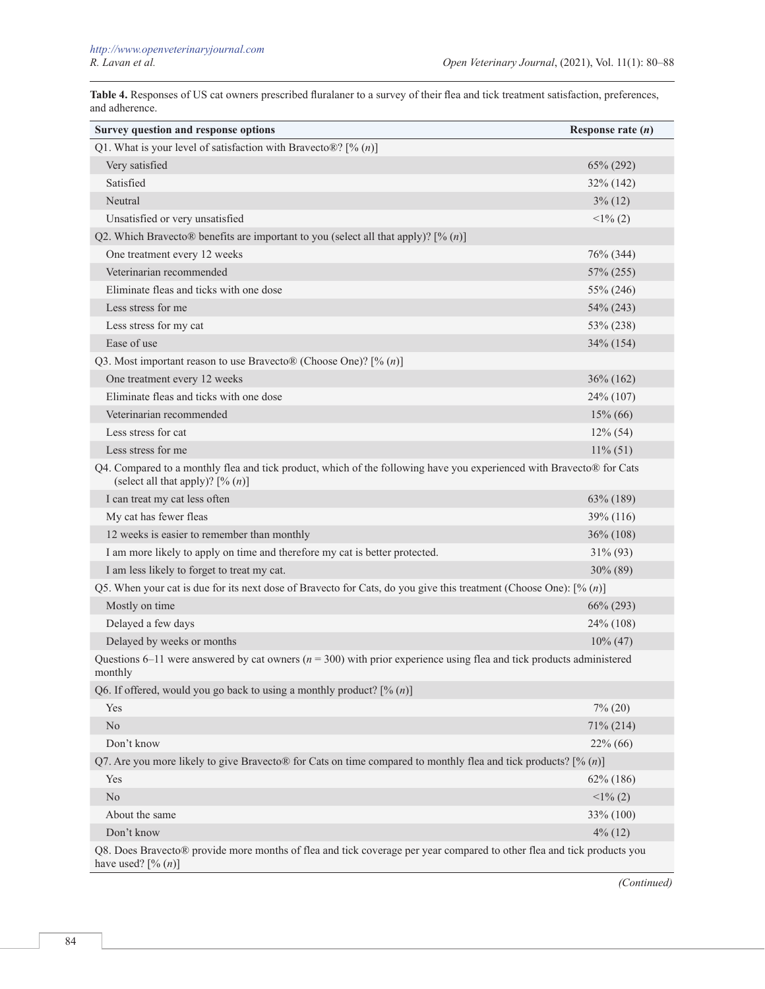**Table 4.** Responses of US cat owners prescribed fluralaner to a survey of their flea and tick treatment satisfaction, preferences, and adherence.

| Survey question and response options                                                                                                                        | Response rate $(n)$ |
|-------------------------------------------------------------------------------------------------------------------------------------------------------------|---------------------|
| Q1. What is your level of satisfaction with Bravecto®? [% $(n)$ ]                                                                                           |                     |
| Very satisfied                                                                                                                                              | 65% (292)           |
| Satisfied                                                                                                                                                   | 32% (142)           |
| Neutral                                                                                                                                                     | $3\%$ (12)          |
| Unsatisfied or very unsatisfied                                                                                                                             | $<1\%$ (2)          |
| Q2. Which Bravecto® benefits are important to you (select all that apply)? $[% (n)]$                                                                        |                     |
| One treatment every 12 weeks                                                                                                                                | 76% (344)           |
| Veterinarian recommended                                                                                                                                    | 57% (255)           |
| Eliminate fleas and ticks with one dose                                                                                                                     | 55% (246)           |
| Less stress for me                                                                                                                                          | 54% (243)           |
| Less stress for my cat                                                                                                                                      | 53% (238)           |
| Ease of use                                                                                                                                                 | 34% (154)           |
| Q3. Most important reason to use Bravecto® (Choose One)? [% $(n)$ ]                                                                                         |                     |
| One treatment every 12 weeks                                                                                                                                | $36\% (162)$        |
| Eliminate fleas and ticks with one dose                                                                                                                     | 24% (107)           |
| Veterinarian recommended                                                                                                                                    | $15\% (66)$         |
| Less stress for cat                                                                                                                                         | $12\%$ (54)         |
| Less stress for me                                                                                                                                          | $11\% (51)$         |
| Q4. Compared to a monthly flea and tick product, which of the following have you experienced with Bravecto® for Cats<br>(select all that apply)? $[\% (n)]$ |                     |
| I can treat my cat less often                                                                                                                               | 63% (189)           |
| My cat has fewer fleas                                                                                                                                      | 39% (116)           |
| 12 weeks is easier to remember than monthly                                                                                                                 | 36% (108)           |
| I am more likely to apply on time and therefore my cat is better protected.                                                                                 | 31% (93)            |
| I am less likely to forget to treat my cat.                                                                                                                 | 30% (89)            |
| Q5. When your cat is due for its next dose of Bravecto for Cats, do you give this treatment (Choose One): $[\% (n)]$                                        |                     |
| Mostly on time                                                                                                                                              | 66% (293)           |
| Delayed a few days                                                                                                                                          | 24% (108)           |
| Delayed by weeks or months                                                                                                                                  | $10\% (47)$         |
| Questions 6–11 were answered by cat owners ( $n = 300$ ) with prior experience using flea and tick products administered<br>monthly                         |                     |
| Q6. If offered, would you go back to using a monthly product? $[% (n)]$                                                                                     |                     |
| Yes                                                                                                                                                         | $7\%$ (20)          |
| $\rm No$                                                                                                                                                    | 71% (214)           |
| Don't know                                                                                                                                                  | 22% (66)            |
| Q7. Are you more likely to give Bravecto® for Cats on time compared to monthly flea and tick products? [% $(n)$ ]                                           |                     |
| Yes                                                                                                                                                         | $62\%$ (186)        |
| $\rm No$                                                                                                                                                    | $\leq$ 1% (2)       |
| About the same                                                                                                                                              | 33% (100)           |
| Don't know                                                                                                                                                  | $4\%$ (12)          |
| Q8. Does Bravecto® provide more months of flea and tick coverage per year compared to other flea and tick products you<br>have used? $[\% (n)]$             |                     |

*(Continued)*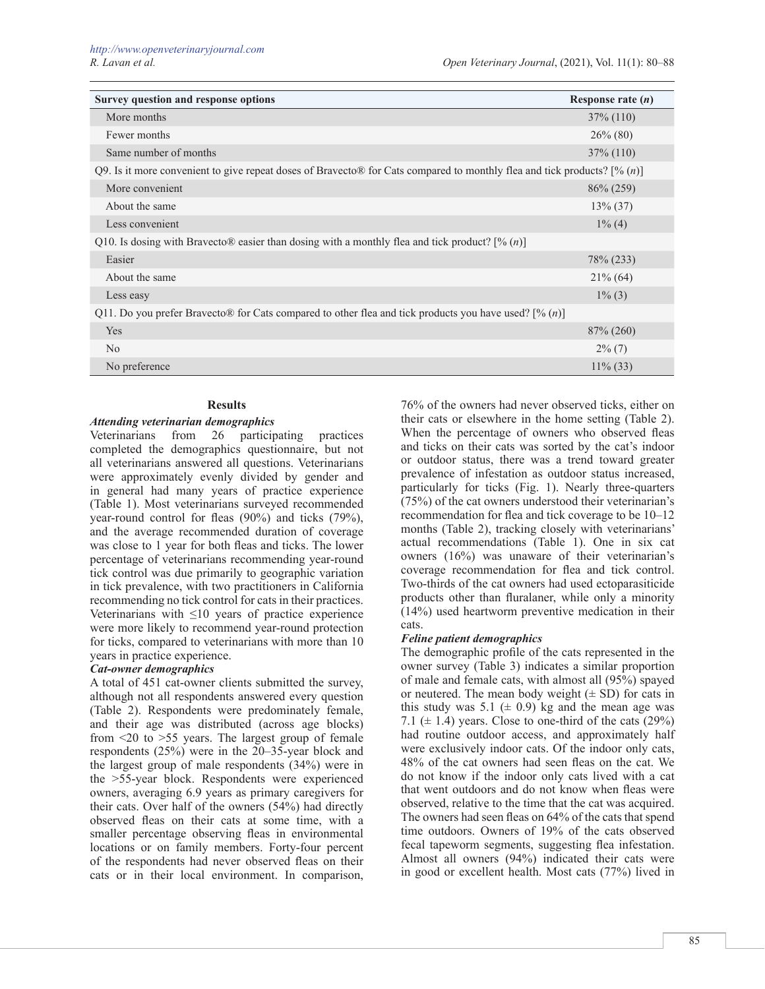| Survey question and response options                                                                                     | Response rate $(n)$ |  |
|--------------------------------------------------------------------------------------------------------------------------|---------------------|--|
| More months                                                                                                              | $37\% (110)$        |  |
| Fewer months                                                                                                             | $26\%$ (80)         |  |
| Same number of months                                                                                                    | $37\%$ (110)        |  |
| Q9. Is it more convenient to give repeat doses of Bravecto® for Cats compared to monthly flea and tick products? [% (n)] |                     |  |
| More convenient                                                                                                          | $86\% (259)$        |  |
| About the same                                                                                                           | $13\% (37)$         |  |
| Less convenient                                                                                                          | $1\%$ (4)           |  |
| Q10. Is dosing with Bravecto® easier than dosing with a monthly flea and tick product? [% $(n)$ ]                        |                     |  |
| Easier                                                                                                                   | 78% (233)           |  |
| About the same                                                                                                           | $21\%$ (64)         |  |
| Less easy                                                                                                                | $1\%$ (3)           |  |
| Q11. Do you prefer Bravecto® for Cats compared to other flea and tick products you have used? [% (n)]                    |                     |  |
| Yes                                                                                                                      | $87\% (260)$        |  |
| No                                                                                                                       | $2\%$ (7)           |  |
| No preference                                                                                                            | $11\%$ (33)         |  |

## **Results**

## *Attending veterinarian demographics*

Veterinarians from 26 participating practices completed the demographics questionnaire, but not all veterinarians answered all questions. Veterinarians were approximately evenly divided by gender and in general had many years of practice experience (Table 1). Most veterinarians surveyed recommended year-round control for fleas (90%) and ticks (79%), and the average recommended duration of coverage was close to 1 year for both fleas and ticks. The lower percentage of veterinarians recommending year-round tick control was due primarily to geographic variation in tick prevalence, with two practitioners in California recommending no tick control for cats in their practices. Veterinarians with  $\leq 10$  years of practice experience were more likely to recommend year-round protection for ticks, compared to veterinarians with more than 10 years in practice experience.

## *Cat-owner demographics*

A total of 451 cat-owner clients submitted the survey, although not all respondents answered every question (Table 2). Respondents were predominately female, and their age was distributed (across age blocks) from  $\leq$  10  $\geq$  55 years. The largest group of female respondents (25%) were in the 20–35-year block and the largest group of male respondents (34%) were in the >55-year block. Respondents were experienced owners, averaging 6.9 years as primary caregivers for their cats. Over half of the owners (54%) had directly observed fleas on their cats at some time, with a smaller percentage observing fleas in environmental locations or on family members. Forty-four percent of the respondents had never observed fleas on their cats or in their local environment. In comparison,

76% of the owners had never observed ticks, either on their cats or elsewhere in the home setting (Table 2). When the percentage of owners who observed fleas and ticks on their cats was sorted by the cat's indoor or outdoor status, there was a trend toward greater prevalence of infestation as outdoor status increased, particularly for ticks (Fig. 1). Nearly three-quarters (75%) of the cat owners understood their veterinarian's recommendation for flea and tick coverage to be 10–12 months (Table 2), tracking closely with veterinarians' actual recommendations (Table 1). One in six cat owners (16%) was unaware of their veterinarian's coverage recommendation for flea and tick control. Two-thirds of the cat owners had used ectoparasiticide products other than fluralaner, while only a minority (14%) used heartworm preventive medication in their cats.

## *Feline patient demographics*

The demographic profile of the cats represented in the owner survey (Table 3) indicates a similar proportion of male and female cats, with almost all (95%) spayed or neutered. The mean body weight  $(\pm SD)$  for cats in this study was 5.1 ( $\pm$  0.9) kg and the mean age was 7.1 ( $\pm$  1.4) years. Close to one-third of the cats (29%) had routine outdoor access, and approximately half were exclusively indoor cats. Of the indoor only cats, 48% of the cat owners had seen fleas on the cat. We do not know if the indoor only cats lived with a cat that went outdoors and do not know when fleas were observed, relative to the time that the cat was acquired. The owners had seen fleas on 64% of the cats that spend time outdoors. Owners of 19% of the cats observed fecal tapeworm segments, suggesting flea infestation. Almost all owners (94%) indicated their cats were in good or excellent health. Most cats (77%) lived in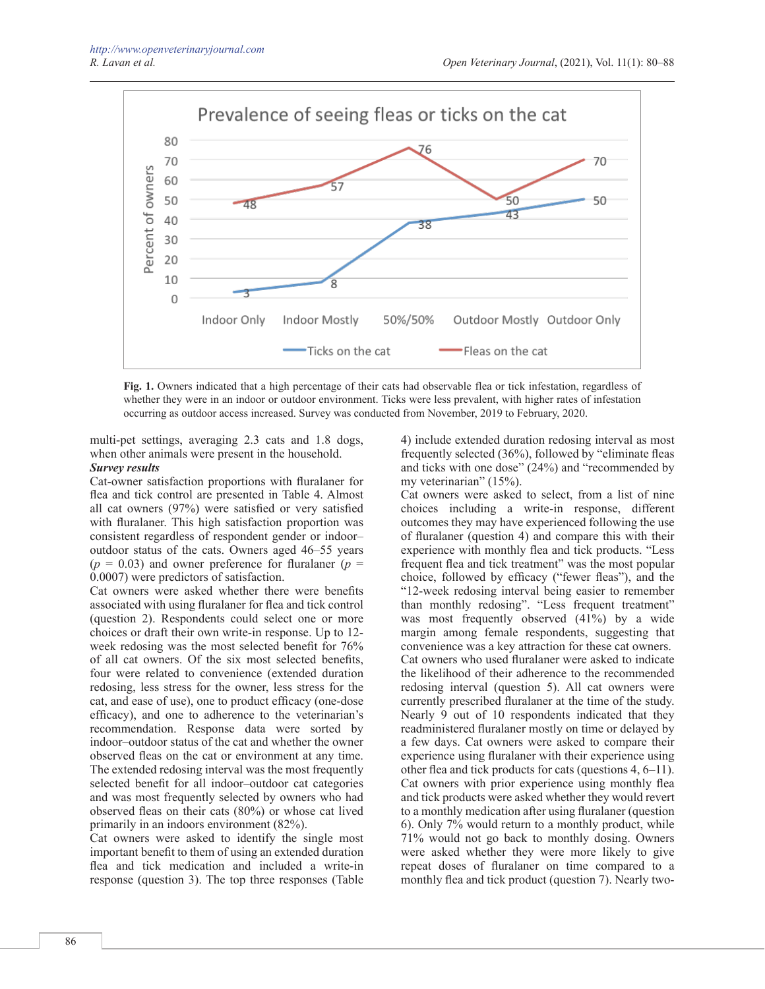

**Fig. 1.** Owners indicated that a high percentage of their cats had observable flea or tick infestation, regardless of whether they were in an indoor or outdoor environment. Ticks were less prevalent, with higher rates of infestation occurring as outdoor access increased. Survey was conducted from November, 2019 to February, 2020.

multi-pet settings, averaging 2.3 cats and 1.8 dogs, when other animals were present in the household.

# *Survey results*

Cat-owner satisfaction proportions with fluralaner for flea and tick control are presented in Table 4. Almost all cat owners (97%) were satisfied or very satisfied with fluralaner. This high satisfaction proportion was consistent regardless of respondent gender or indoor– outdoor status of the cats. Owners aged 46–55 years  $(p = 0.03)$  and owner preference for fluralaner  $(p = 0.03)$ 0.0007) were predictors of satisfaction.

Cat owners were asked whether there were benefits associated with using fluralaner for flea and tick control (question 2). Respondents could select one or more choices or draft their own write-in response. Up to 12 week redosing was the most selected benefit for 76% of all cat owners. Of the six most selected benefits, four were related to convenience (extended duration redosing, less stress for the owner, less stress for the cat, and ease of use), one to product efficacy (one-dose efficacy), and one to adherence to the veterinarian's recommendation. Response data were sorted by indoor–outdoor status of the cat and whether the owner observed fleas on the cat or environment at any time. The extended redosing interval was the most frequently selected benefit for all indoor–outdoor cat categories and was most frequently selected by owners who had observed fleas on their cats (80%) or whose cat lived primarily in an indoors environment (82%).

Cat owners were asked to identify the single most important benefit to them of using an extended duration flea and tick medication and included a write-in response (question 3). The top three responses (Table

4) include extended duration redosing interval as most frequently selected (36%), followed by "eliminate fleas and ticks with one dose" (24%) and "recommended by my veterinarian" (15%).

Cat owners were asked to select, from a list of nine choices including a write-in response, different outcomes they may have experienced following the use of fluralaner (question 4) and compare this with their experience with monthly flea and tick products. "Less frequent flea and tick treatment" was the most popular choice, followed by efficacy ("fewer fleas"), and the "12-week redosing interval being easier to remember than monthly redosing". "Less frequent treatment" was most frequently observed (41%) by a wide margin among female respondents, suggesting that convenience was a key attraction for these cat owners. Cat owners who used fluralaner were asked to indicate the likelihood of their adherence to the recommended redosing interval (question 5). All cat owners were currently prescribed fluralaner at the time of the study. Nearly 9 out of 10 respondents indicated that they readministered fluralaner mostly on time or delayed by a few days. Cat owners were asked to compare their experience using fluralaner with their experience using other flea and tick products for cats (questions 4, 6–11). Cat owners with prior experience using monthly flea and tick products were asked whether they would revert to a monthly medication after using fluralaner (question 6). Only 7% would return to a monthly product, while 71% would not go back to monthly dosing. Owners were asked whether they were more likely to give repeat doses of fluralaner on time compared to a monthly flea and tick product (question 7). Nearly two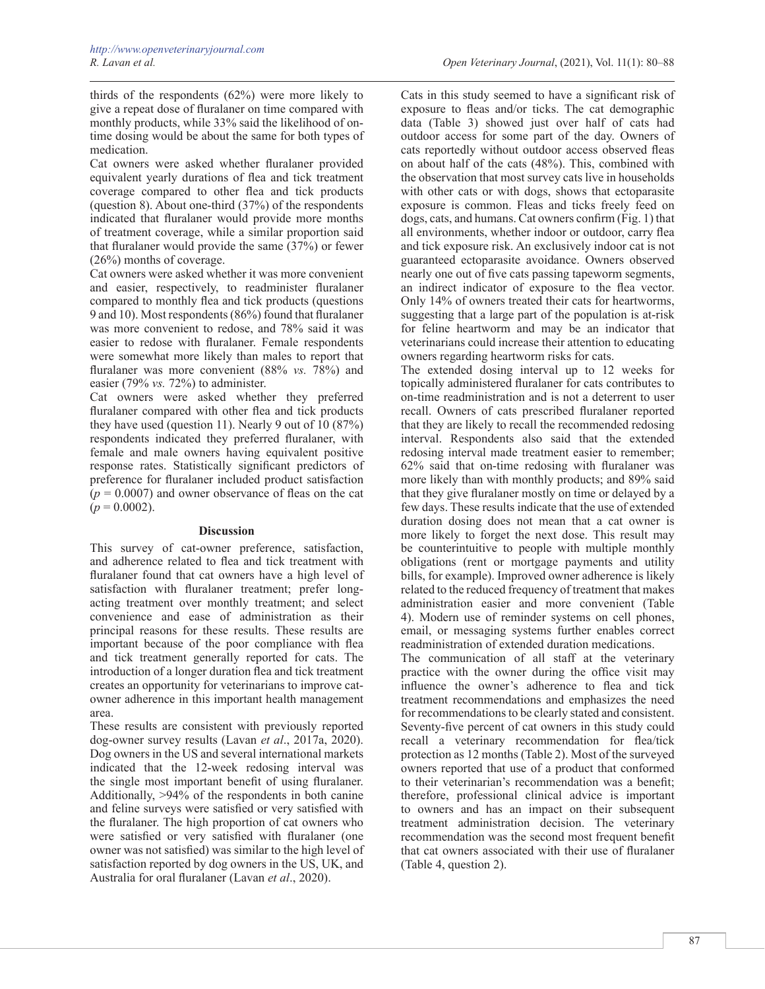thirds of the respondents (62%) were more likely to give a repeat dose of fluralaner on time compared with monthly products, while 33% said the likelihood of ontime dosing would be about the same for both types of medication.

Cat owners were asked whether fluralaner provided equivalent yearly durations of flea and tick treatment coverage compared to other flea and tick products (question 8). About one-third (37%) of the respondents indicated that fluralaner would provide more months of treatment coverage, while a similar proportion said that fluralaner would provide the same (37%) or fewer (26%) months of coverage.

Cat owners were asked whether it was more convenient and easier, respectively, to readminister fluralaner compared to monthly flea and tick products (questions 9 and 10). Most respondents (86%) found that fluralaner was more convenient to redose, and 78% said it was easier to redose with fluralaner. Female respondents were somewhat more likely than males to report that fluralaner was more convenient (88% *vs.* 78%) and easier (79% *vs.* 72%) to administer.

Cat owners were asked whether they preferred fluralaner compared with other flea and tick products they have used (question 11). Nearly 9 out of  $10 (87%)$ respondents indicated they preferred fluralaner, with female and male owners having equivalent positive response rates. Statistically significant predictors of preference for fluralaner included product satisfaction  $(p = 0.0007)$  and owner observance of fleas on the cat  $(p = 0.0002)$ .

#### **Discussion**

This survey of cat-owner preference, satisfaction, and adherence related to flea and tick treatment with fluralaner found that cat owners have a high level of satisfaction with fluralaner treatment; prefer longacting treatment over monthly treatment; and select convenience and ease of administration as their principal reasons for these results. These results are important because of the poor compliance with flea and tick treatment generally reported for cats. The introduction of a longer duration flea and tick treatment creates an opportunity for veterinarians to improve catowner adherence in this important health management area.

These results are consistent with previously reported dog-owner survey results (Lavan *et al*., 2017a, 2020). Dog owners in the US and several international markets indicated that the 12-week redosing interval was the single most important benefit of using fluralaner. Additionally, >94% of the respondents in both canine and feline surveys were satisfied or very satisfied with the fluralaner. The high proportion of cat owners who were satisfied or very satisfied with fluralaner (one owner was not satisfied) was similar to the high level of satisfaction reported by dog owners in the US, UK, and Australia for oral fluralaner (Lavan *et al*., 2020).

Cats in this study seemed to have a significant risk of exposure to fleas and/or ticks. The cat demographic data (Table 3) showed just over half of cats had outdoor access for some part of the day. Owners of cats reportedly without outdoor access observed fleas on about half of the cats (48%). This, combined with the observation that most survey cats live in households with other cats or with dogs, shows that ectoparasite exposure is common. Fleas and ticks freely feed on dogs, cats, and humans. Cat owners confirm (Fig. 1) that all environments, whether indoor or outdoor, carry flea and tick exposure risk. An exclusively indoor cat is not guaranteed ectoparasite avoidance. Owners observed nearly one out of five cats passing tapeworm segments, an indirect indicator of exposure to the flea vector. Only 14% of owners treated their cats for heartworms, suggesting that a large part of the population is at-risk for feline heartworm and may be an indicator that veterinarians could increase their attention to educating owners regarding heartworm risks for cats.

The extended dosing interval up to 12 weeks for topically administered fluralaner for cats contributes to on-time readministration and is not a deterrent to user recall. Owners of cats prescribed fluralaner reported that they are likely to recall the recommended redosing interval. Respondents also said that the extended redosing interval made treatment easier to remember; 62% said that on-time redosing with fluralaner was more likely than with monthly products; and 89% said that they give fluralaner mostly on time or delayed by a few days. These results indicate that the use of extended duration dosing does not mean that a cat owner is more likely to forget the next dose. This result may be counterintuitive to people with multiple monthly obligations (rent or mortgage payments and utility bills, for example). Improved owner adherence is likely related to the reduced frequency of treatment that makes administration easier and more convenient (Table 4). Modern use of reminder systems on cell phones, email, or messaging systems further enables correct readministration of extended duration medications.

The communication of all staff at the veterinary practice with the owner during the office visit may influence the owner's adherence to flea and tick treatment recommendations and emphasizes the need for recommendations to be clearly stated and consistent. Seventy-five percent of cat owners in this study could recall a veterinary recommendation for flea/tick protection as 12 months (Table 2). Most of the surveyed owners reported that use of a product that conformed to their veterinarian's recommendation was a benefit; therefore, professional clinical advice is important to owners and has an impact on their subsequent treatment administration decision. The veterinary recommendation was the second most frequent benefit that cat owners associated with their use of fluralaner (Table 4, question 2).